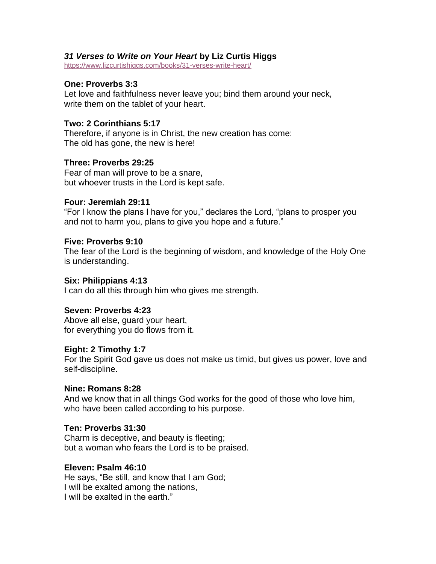## *31 Verses to Write on Your Heart* **by Liz Curtis Higgs**

<https://www.lizcurtishiggs.com/books/31-verses-write-heart/>

## **One: Proverbs 3:3**

Let love and faithfulness never leave you; bind them around your neck, write them on the tablet of your heart.

## **Two: 2 Corinthians 5:17**

Therefore, if anyone is in Christ, the new creation has come: The old has gone, the new is here!

## **Three: Proverbs 29:25**

Fear of man will prove to be a snare, but whoever trusts in the Lord is kept safe.

### **Four: Jeremiah 29:11**

"For I know the plans I have for you," declares the Lord, "plans to prosper you and not to harm you, plans to give you hope and a future."

### **Five: Proverbs 9:10**

The fear of the Lord is the beginning of wisdom, and knowledge of the Holy One is understanding.

## **Six: Philippians 4:13**

I can do all this through him who gives me strength.

## **Seven: Proverbs 4:23**

Above all else, guard your heart, for everything you do flows from it.

### **Eight: 2 Timothy 1:7**

For the Spirit God gave us does not make us timid, but gives us power, love and self-discipline.

### **Nine: Romans 8:28**

And we know that in all things God works for the good of those who love him, who have been called according to his purpose.

# **Ten: Proverbs 31:30**

Charm is deceptive, and beauty is fleeting; but a woman who fears the Lord is to be praised.

### **Eleven: Psalm 46:10**

He says, "Be still, and know that I am God; I will be exalted among the nations, I will be exalted in the earth."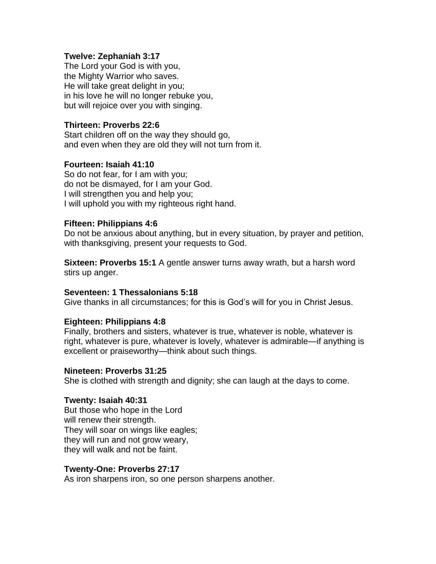## **Twelve: Zephaniah 3:17**

The Lord your God is with you, the Mighty Warrior who saves. He will take great delight in you; in his love he will no longer rebuke you, but will rejoice over you with singing.

# **Thirteen: Proverbs 22:6**

Start children off on the way they should go, and even when they are old they will not turn from it.

## **Fourteen: Isaiah 41:10**

So do not fear, for I am with you; do not be dismayed, for I am your God. I will strengthen you and help you; I will uphold you with my righteous right hand.

### **Fifteen: Philippians 4:6**

Do not be anxious about anything, but in every situation, by prayer and petition, with thanksgiving, present your requests to God.

**Sixteen: Proverbs 15:1** A gentle answer turns away wrath, but a harsh word stirs up anger.

# **Seventeen: 1 Thessalonians 5:18**

Give thanks in all circumstances; for this is God's will for you in Christ Jesus.

# **Eighteen: Philippians 4:8**

Finally, brothers and sisters, whatever is true, whatever is noble, whatever is right, whatever is pure, whatever is lovely, whatever is admirable—if anything is excellent or praiseworthy—think about such things.

### **Nineteen: Proverbs 31:25**

She is clothed with strength and dignity; she can laugh at the days to come.

# **Twenty: Isaiah 40:31**

But those who hope in the Lord will renew their strength. They will soar on wings like eagles; they will run and not grow weary, they will walk and not be faint.

### **Twenty-One: Proverbs 27:17**

As iron sharpens iron, so one person sharpens another.